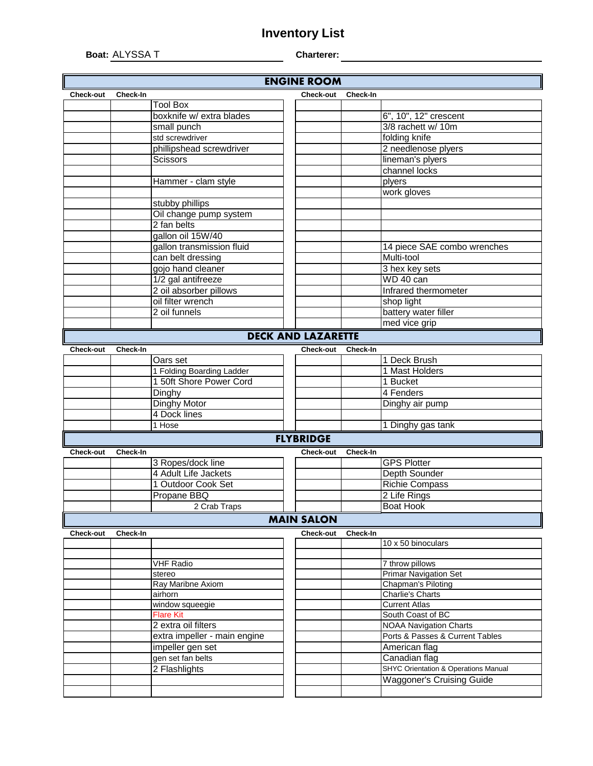## **Inventory List**

**Boat:** ALYSSA T **Charterer:**

| <b>ENGINE ROOM</b> |                 |                              |  |                           |                 |                                                 |  |  |  |  |  |
|--------------------|-----------------|------------------------------|--|---------------------------|-----------------|-------------------------------------------------|--|--|--|--|--|
| <b>Check-out</b>   | <b>Check-In</b> |                              |  | <b>Check-out</b>          | <b>Check-In</b> |                                                 |  |  |  |  |  |
|                    |                 | <b>Tool Box</b>              |  |                           |                 |                                                 |  |  |  |  |  |
|                    |                 | boxknife w/ extra blades     |  |                           |                 | 6", 10", 12" crescent                           |  |  |  |  |  |
|                    |                 | small punch                  |  |                           |                 | 3/8 rachett w/ 10m                              |  |  |  |  |  |
|                    |                 | std screwdriver              |  |                           |                 | folding knife                                   |  |  |  |  |  |
|                    |                 | phillipshead screwdriver     |  |                           |                 | 2 needlenose plyers                             |  |  |  |  |  |
|                    |                 | <b>Scissors</b>              |  |                           |                 | lineman's plyers                                |  |  |  |  |  |
|                    |                 |                              |  |                           |                 | channel locks                                   |  |  |  |  |  |
|                    |                 | Hammer - clam style          |  |                           |                 | plyers                                          |  |  |  |  |  |
|                    |                 |                              |  |                           |                 | work gloves                                     |  |  |  |  |  |
|                    |                 | stubby phillips              |  |                           |                 |                                                 |  |  |  |  |  |
|                    |                 | Oil change pump system       |  |                           |                 |                                                 |  |  |  |  |  |
|                    |                 | 2 fan belts                  |  |                           |                 |                                                 |  |  |  |  |  |
|                    |                 | gallon oil 15W/40            |  |                           |                 |                                                 |  |  |  |  |  |
|                    |                 | gallon transmission fluid    |  |                           |                 | 14 piece SAE combo wrenches                     |  |  |  |  |  |
|                    |                 | can belt dressing            |  |                           |                 | Multi-tool                                      |  |  |  |  |  |
|                    |                 | gojo hand cleaner            |  |                           |                 | 3 hex key sets                                  |  |  |  |  |  |
|                    |                 | 1/2 gal antifreeze           |  |                           |                 | WD 40 can                                       |  |  |  |  |  |
|                    |                 | 2 oil absorber pillows       |  |                           |                 | Infrared thermometer                            |  |  |  |  |  |
|                    |                 | oil filter wrench            |  |                           |                 | shop light                                      |  |  |  |  |  |
|                    |                 | 2 oil funnels                |  |                           |                 | battery water filler                            |  |  |  |  |  |
|                    |                 |                              |  |                           |                 | med vice grip                                   |  |  |  |  |  |
|                    |                 |                              |  | <b>DECK AND LAZARETTE</b> |                 |                                                 |  |  |  |  |  |
| <b>Check-out</b>   | <b>Check-In</b> |                              |  | <b>Check-out</b>          | Check-In        |                                                 |  |  |  |  |  |
|                    |                 | Oars set                     |  |                           |                 | 1 Deck Brush                                    |  |  |  |  |  |
|                    |                 | 1 Folding Boarding Ladder    |  |                           |                 | 1 Mast Holders                                  |  |  |  |  |  |
|                    |                 | 1 50ft Shore Power Cord      |  |                           |                 | 1 Bucket                                        |  |  |  |  |  |
|                    |                 | Dinghy                       |  |                           |                 | 4 Fenders                                       |  |  |  |  |  |
|                    |                 | Dinghy Motor                 |  |                           |                 | Dinghy air pump                                 |  |  |  |  |  |
|                    |                 | 4 Dock lines                 |  |                           |                 |                                                 |  |  |  |  |  |
|                    |                 | 1 Hose                       |  |                           |                 | 1 Dinghy gas tank                               |  |  |  |  |  |
|                    |                 |                              |  | <b>FLYBRIDGE</b>          |                 |                                                 |  |  |  |  |  |
| Check-out          | Check-In        |                              |  | <b>Check-out</b>          | Check-In        |                                                 |  |  |  |  |  |
|                    |                 | 3 Ropes/dock line            |  |                           |                 | <b>GPS Plotter</b>                              |  |  |  |  |  |
|                    |                 | 4 Adult Life Jackets         |  |                           |                 | <b>Depth Sounder</b>                            |  |  |  |  |  |
|                    |                 | 1 Outdoor Cook Set           |  |                           |                 | <b>Richie Compass</b>                           |  |  |  |  |  |
|                    |                 | Propane BBQ                  |  |                           |                 | 2 Life Rings                                    |  |  |  |  |  |
|                    |                 | 2 Crab Traps                 |  |                           |                 | Boat Hook                                       |  |  |  |  |  |
| <b>MAIN SALON</b>  |                 |                              |  |                           |                 |                                                 |  |  |  |  |  |
| <b>Check-out</b>   | Check-In        |                              |  | <b>Check-out</b>          | Check-In        |                                                 |  |  |  |  |  |
|                    |                 |                              |  |                           |                 | 10 x 50 binoculars                              |  |  |  |  |  |
|                    |                 |                              |  |                           |                 |                                                 |  |  |  |  |  |
|                    |                 | <b>VHF Radio</b>             |  |                           |                 | 7 throw pillows                                 |  |  |  |  |  |
|                    |                 | stereo                       |  |                           |                 | <b>Primar Navigation Set</b>                    |  |  |  |  |  |
|                    |                 | Ray Maribne Axiom            |  |                           |                 | Chapman's Piloting                              |  |  |  |  |  |
|                    |                 | airhorn                      |  |                           |                 | <b>Charlie's Charts</b>                         |  |  |  |  |  |
|                    |                 | window squeegie              |  |                           |                 | <b>Current Atlas</b>                            |  |  |  |  |  |
|                    |                 | <b>Flare Kit</b>             |  |                           |                 | South Coast of BC                               |  |  |  |  |  |
|                    |                 | 2 extra oil filters          |  |                           |                 | <b>NOAA Navigation Charts</b>                   |  |  |  |  |  |
|                    |                 | extra impeller - main engine |  |                           |                 | Ports & Passes & Current Tables                 |  |  |  |  |  |
|                    |                 | impeller gen set             |  |                           |                 | American flag                                   |  |  |  |  |  |
|                    |                 | gen set fan belts            |  |                           |                 | Canadian flag                                   |  |  |  |  |  |
|                    |                 | 2 Flashlights                |  |                           |                 | <b>SHYC Orientation &amp; Operations Manual</b> |  |  |  |  |  |
|                    |                 |                              |  |                           |                 | <b>Waggoner's Cruising Guide</b>                |  |  |  |  |  |
|                    |                 |                              |  |                           |                 |                                                 |  |  |  |  |  |